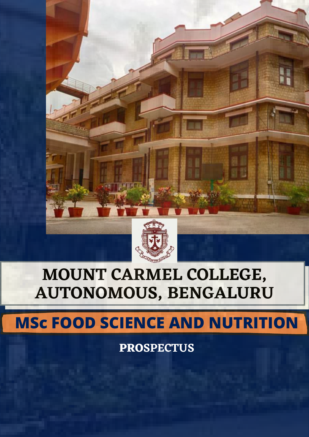

# **MOUNT CARMEL COLLEGE, AUTONOMOUS, BENGALURU**

## **MSc FOOD SCIENCE AND NUTRITION**

**PROSPECTUS**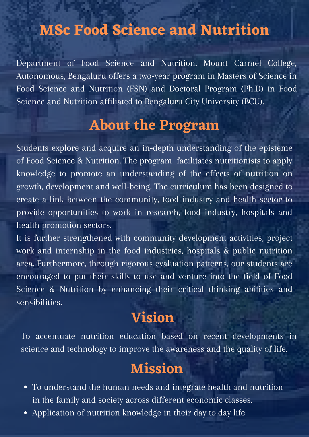### **MSc Food Science and Nutrition**

Department of Food Science and Nutrition, Mount Carmel College, Autonomous, Bengaluru offers a two-year program in Masters of Science in Food Science and Nutrition (FSN) and Doctoral Program (Ph.D) in Food Science and Nutrition affiliated to Bengaluru City University (BCU).

#### **About the Program**

Students explore and acquire an in-depth understanding of the episteme of Food Science & Nutrition. The program facilitates nutritionists to apply knowledge to promote an understanding of the effects of nutrition on growth, development and well-being. The curriculum has been designed to create a link between the community, food industry and health sector to provide opportunities to work in research, food industry, hospitals and health promotion sectors.

It is further strengthened with community development activities, project work and internship in the food industries, hospitals & public nutrition area. Furthermore, through rigorous evaluation patterns, our students are encouraged to put their skills to use and venture into the field of Food Science & Nutrition by enhancing their critical thinking abilities and sensibilities.

#### **Vision**

To accentuate nutrition education based on recent developments in science and technology to improve the awareness and the quality of life.

#### **Mission**

- To understand the human needs and integrate health and nutrition in the family and society across different economic classes.
- Application of nutrition knowledge in their day to day life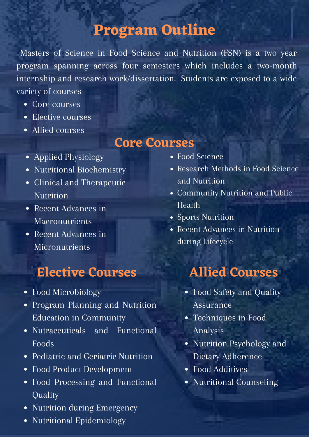#### **Program Outline**

Masters of Science in Food Science and Nutrition (FSN) is a two year program spanning across four semesters which includes a two-month internship and research work/dissertation. Students are exposed to a wide variety of courses -

- Core courses
- Elective courses
- Allied courses

#### **Core Courses**

- Applied Physiology
- Nutritional Biochemistry
- Clinical and Therapeutic **Nutrition**
- Recent Advances in Macronutrients
- Recent Advances in Micronutrients

## **Elective Courses**

- Food Microbiology
- Program Planning and Nutrition Education in Community
- Nutraceuticals and Functional Foods
- Pediatric and Geriatric Nutrition
- Food Product Development
- Food Processing and Functional Quality
- Nutrition during Emergency
- Nutritional Epidemiology
- Food Science
- Research Methods in Food Science and Nutrition
- Community Nutrition and Public Health
- Sports Nutrition
- Recent Advances in Nutrition during Lifecycle

## **Allied Courses**

- Food Safety and Quality Assurance
- Techniques in Food Analysis
- Nutrition Psychology and Dietary Adherence
- Food Additives
- Nutritional Counseling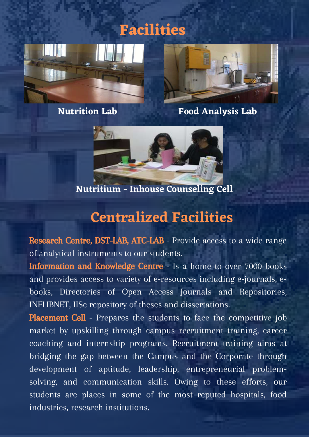**Nutrition Lab Food Analysis Lab**



**Facilities**

**Nutritium - Inhouse Counseling Cell**

#### **Centralized Facilities**

Research Centre, DST-LAB, ATC-LAB - Provide access to a wide range of analytical instruments to our students.

Information and Knowledge Centre - Is a home to over 7000 books and provides access to variety of e-resources including e-journals, ebooks, Directories of Open Access Journals and Repositories, INFLIBNET, IISc repository of theses and dissertations.

Placement Cell - Prepares the students to face the competitive job market by upskilling through campus recruitment training, career coaching and internship programs. Recruitment training aims at bridging the gap between the Campus and the Corporate through development of aptitude, leadership, entrepreneurial problemsolving, and communication skills. Owing to these efforts, our students are places in some of the most reputed hospitals, food industries, research institutions.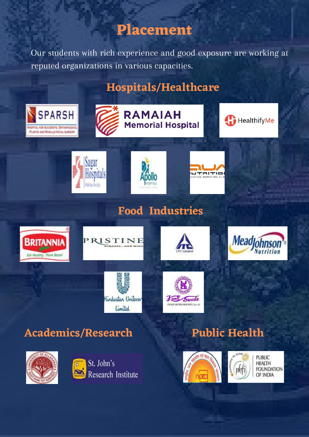#### **Placement**

Our students with rich experience and good exposure are working at reputed organizations in various capacities.

#### **Hospitals/Healthcare**